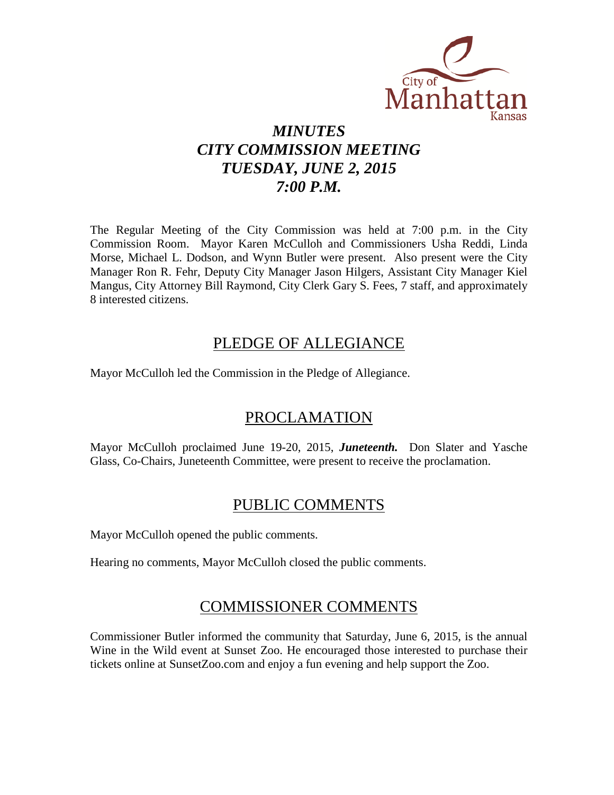

# *MINUTES CITY COMMISSION MEETING TUESDAY, JUNE 2, 2015 7:00 P.M.*

The Regular Meeting of the City Commission was held at 7:00 p.m. in the City Commission Room. Mayor Karen McCulloh and Commissioners Usha Reddi, Linda Morse, Michael L. Dodson, and Wynn Butler were present. Also present were the City Manager Ron R. Fehr, Deputy City Manager Jason Hilgers, Assistant City Manager Kiel Mangus, City Attorney Bill Raymond, City Clerk Gary S. Fees, 7 staff, and approximately 8 interested citizens.

## PLEDGE OF ALLEGIANCE

Mayor McCulloh led the Commission in the Pledge of Allegiance.

## PROCLAMATION

Mayor McCulloh proclaimed June 19-20, 2015, *Juneteenth.* Don Slater and Yasche Glass, Co-Chairs, Juneteenth Committee, were present to receive the proclamation.

## PUBLIC COMMENTS

Mayor McCulloh opened the public comments.

Hearing no comments, Mayor McCulloh closed the public comments.

## COMMISSIONER COMMENTS

Commissioner Butler informed the community that Saturday, June 6, 2015, is the annual Wine in the Wild event at Sunset Zoo. He encouraged those interested to purchase their tickets online at SunsetZoo.com and enjoy a fun evening and help support the Zoo.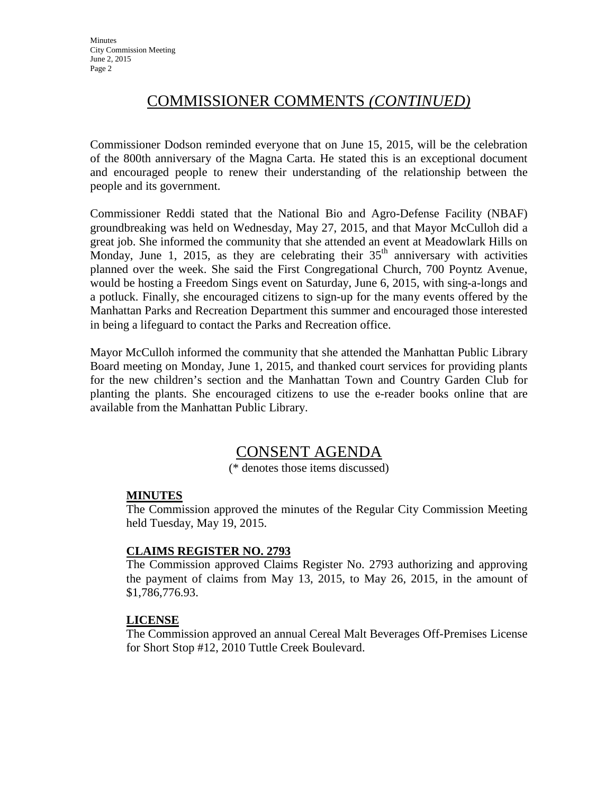# COMMISSIONER COMMENTS *(CONTINUED)*

Commissioner Dodson reminded everyone that on June 15, 2015, will be the celebration of the 800th anniversary of the Magna Carta. He stated this is an exceptional document and encouraged people to renew their understanding of the relationship between the people and its government.

Commissioner Reddi stated that the National Bio and Agro-Defense Facility (NBAF) groundbreaking was held on Wednesday, May 27, 2015, and that Mayor McCulloh did a great job. She informed the community that she attended an event at Meadowlark Hills on Monday, June 1, 2015, as they are celebrating their  $35<sup>th</sup>$  anniversary with activities planned over the week. She said the First Congregational Church, 700 Poyntz Avenue, would be hosting a Freedom Sings event on Saturday, June 6, 2015, with sing-a-longs and a potluck. Finally, she encouraged citizens to sign-up for the many events offered by the Manhattan Parks and Recreation Department this summer and encouraged those interested in being a lifeguard to contact the Parks and Recreation office.

Mayor McCulloh informed the community that she attended the Manhattan Public Library Board meeting on Monday, June 1, 2015, and thanked court services for providing plants for the new children's section and the Manhattan Town and Country Garden Club for planting the plants. She encouraged citizens to use the e-reader books online that are available from the Manhattan Public Library.

## CONSENT AGENDA

(\* denotes those items discussed)

#### **MINUTES**

The Commission approved the minutes of the Regular City Commission Meeting held Tuesday, May 19, 2015.

### **CLAIMS REGISTER NO. 2793**

The Commission approved Claims Register No. 2793 authorizing and approving the payment of claims from May 13, 2015, to May 26, 2015, in the amount of \$1,786,776.93.

### **LICENSE**

The Commission approved an annual Cereal Malt Beverages Off-Premises License for Short Stop #12, 2010 Tuttle Creek Boulevard.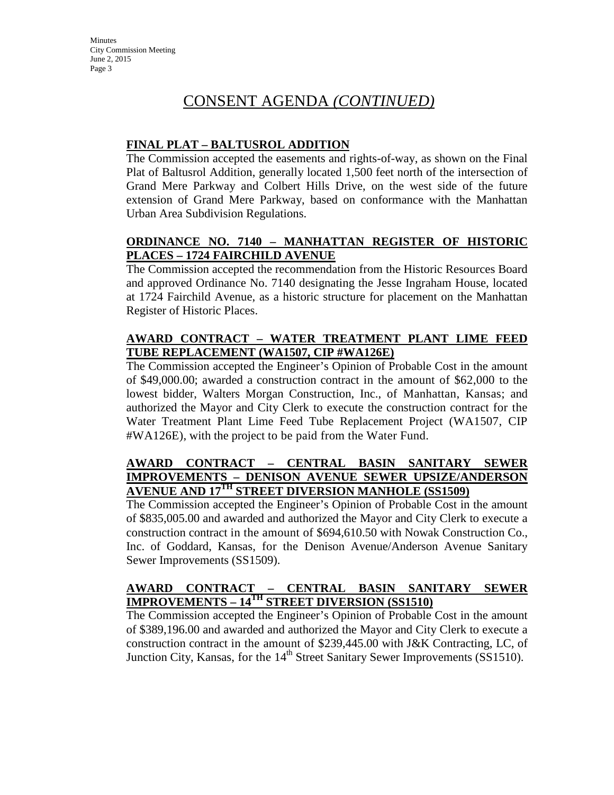# CONSENT AGENDA *(CONTINUED)*

### **FINAL PLAT – BALTUSROL ADDITION**

The Commission accepted the easements and rights-of-way, as shown on the Final Plat of Baltusrol Addition, generally located 1,500 feet north of the intersection of Grand Mere Parkway and Colbert Hills Drive, on the west side of the future extension of Grand Mere Parkway, based on conformance with the Manhattan Urban Area Subdivision Regulations.

### **ORDINANCE NO. 7140 – MANHATTAN REGISTER OF HISTORIC PLACES – 1724 FAIRCHILD AVENUE**

The Commission accepted the recommendation from the Historic Resources Board and approved Ordinance No. 7140 designating the Jesse Ingraham House, located at 1724 Fairchild Avenue, as a historic structure for placement on the Manhattan Register of Historic Places.

### **AWARD CONTRACT – WATER TREATMENT PLANT LIME FEED TUBE REPLACEMENT (WA1507, CIP #WA126E)**

The Commission accepted the Engineer's Opinion of Probable Cost in the amount of \$49,000.00; awarded a construction contract in the amount of \$62,000 to the lowest bidder, Walters Morgan Construction, Inc., of Manhattan, Kansas; and authorized the Mayor and City Clerk to execute the construction contract for the Water Treatment Plant Lime Feed Tube Replacement Project (WA1507, CIP #WA126E), with the project to be paid from the Water Fund.

### **AWARD CONTRACT – CENTRAL BASIN SANITARY SEWER IMPROVEMENTS – DENISON AVENUE SEWER UPSIZE/ANDERSON AVENUE AND 17TH STREET DIVERSION MANHOLE (SS1509)**

The Commission accepted the Engineer's Opinion of Probable Cost in the amount of \$835,005.00 and awarded and authorized the Mayor and City Clerk to execute a construction contract in the amount of \$694,610.50 with Nowak Construction Co., Inc. of Goddard, Kansas, for the Denison Avenue/Anderson Avenue Sanitary Sewer Improvements (SS1509).

### **AWARD CONTRACT – CENTRAL BASIN SANITARY SEWER IMPROVEMENTS – 14TH STREET DIVERSION (SS1510)**

The Commission accepted the Engineer's Opinion of Probable Cost in the amount of \$389,196.00 and awarded and authorized the Mayor and City Clerk to execute a construction contract in the amount of \$239,445.00 with J&K Contracting, LC, of Junction City, Kansas, for the  $14<sup>th</sup>$  Street Sanitary Sewer Improvements (SS1510).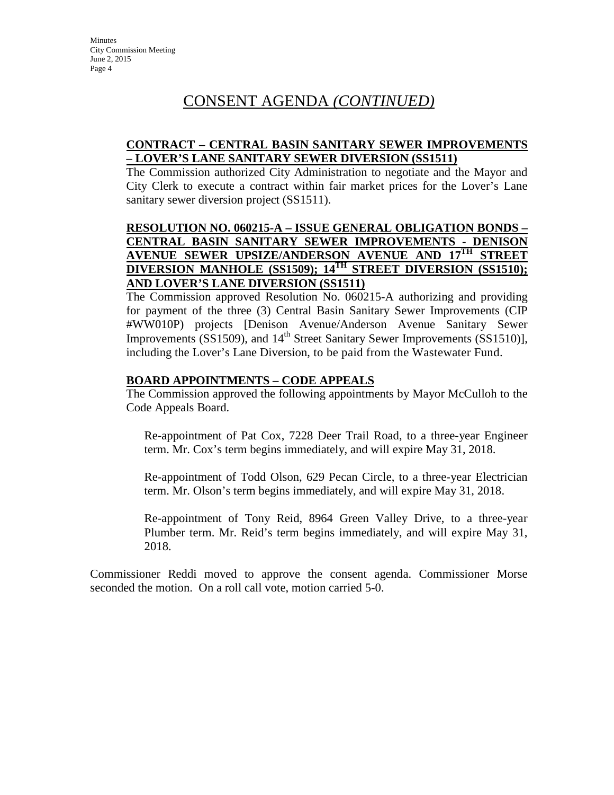# CONSENT AGENDA *(CONTINUED)*

#### **CONTRACT – CENTRAL BASIN SANITARY SEWER IMPROVEMENTS – LOVER'S LANE SANITARY SEWER DIVERSION (SS1511)**

The Commission authorized City Administration to negotiate and the Mayor and City Clerk to execute a contract within fair market prices for the Lover's Lane sanitary sewer diversion project (SS1511).

#### **RESOLUTION NO. 060215-A – ISSUE GENERAL OBLIGATION BONDS – CENTRAL BASIN SANITARY SEWER IMPROVEMENTS - DENISON AVENUE SEWER UPSIZE/ANDERSON AVENUE AND 17TH STREET DIVERSION MANHOLE (SS1509); 14TH STREET DIVERSION (SS1510); AND LOVER'S LANE DIVERSION (SS1511)**

The Commission approved Resolution No. 060215-A authorizing and providing for payment of the three (3) Central Basin Sanitary Sewer Improvements (CIP #WW010P) projects [Denison Avenue/Anderson Avenue Sanitary Sewer Improvements (SS1509), and  $14<sup>th</sup>$  Street Sanitary Sewer Improvements (SS1510)], including the Lover's Lane Diversion, to be paid from the Wastewater Fund.

#### **BOARD APPOINTMENTS – CODE APPEALS**

The Commission approved the following appointments by Mayor McCulloh to the Code Appeals Board.

Re-appointment of Pat Cox, 7228 Deer Trail Road, to a three-year Engineer term. Mr. Cox's term begins immediately, and will expire May 31, 2018.

Re-appointment of Todd Olson, 629 Pecan Circle, to a three-year Electrician term. Mr. Olson's term begins immediately, and will expire May 31, 2018.

Re-appointment of Tony Reid, 8964 Green Valley Drive, to a three-year Plumber term. Mr. Reid's term begins immediately, and will expire May 31, 2018.

Commissioner Reddi moved to approve the consent agenda. Commissioner Morse seconded the motion. On a roll call vote, motion carried 5-0.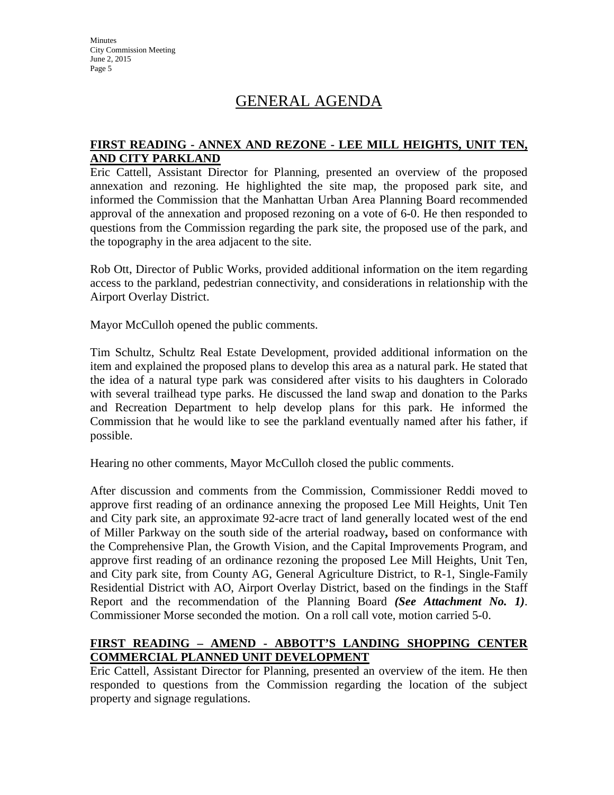# GENERAL AGENDA

#### **FIRST READING - ANNEX AND REZONE - LEE MILL HEIGHTS, UNIT TEN, AND CITY PARKLAND**

Eric Cattell, Assistant Director for Planning, presented an overview of the proposed annexation and rezoning. He highlighted the site map, the proposed park site, and informed the Commission that the Manhattan Urban Area Planning Board recommended approval of the annexation and proposed rezoning on a vote of 6-0. He then responded to questions from the Commission regarding the park site, the proposed use of the park, and the topography in the area adjacent to the site.

Rob Ott, Director of Public Works, provided additional information on the item regarding access to the parkland, pedestrian connectivity, and considerations in relationship with the Airport Overlay District.

Mayor McCulloh opened the public comments.

Tim Schultz, Schultz Real Estate Development, provided additional information on the item and explained the proposed plans to develop this area as a natural park. He stated that the idea of a natural type park was considered after visits to his daughters in Colorado with several trailhead type parks. He discussed the land swap and donation to the Parks and Recreation Department to help develop plans for this park. He informed the Commission that he would like to see the parkland eventually named after his father, if possible.

Hearing no other comments, Mayor McCulloh closed the public comments.

After discussion and comments from the Commission, Commissioner Reddi moved to approve first reading of an ordinance annexing the proposed Lee Mill Heights, Unit Ten and City park site, an approximate 92-acre tract of land generally located west of the end of Miller Parkway on the south side of the arterial roadway**,** based on conformance with the Comprehensive Plan, the Growth Vision, and the Capital Improvements Program, and approve first reading of an ordinance rezoning the proposed Lee Mill Heights, Unit Ten, and City park site, from County AG, General Agriculture District, to R-1, Single-Family Residential District with AO, Airport Overlay District, based on the findings in the Staff Report and the recommendation of the Planning Board *(See Attachment No. 1)*. Commissioner Morse seconded the motion. On a roll call vote, motion carried 5-0.

### **FIRST READING – AMEND - ABBOTT'S LANDING SHOPPING CENTER COMMERCIAL PLANNED UNIT DEVELOPMENT**

Eric Cattell, Assistant Director for Planning, presented an overview of the item. He then responded to questions from the Commission regarding the location of the subject property and signage regulations.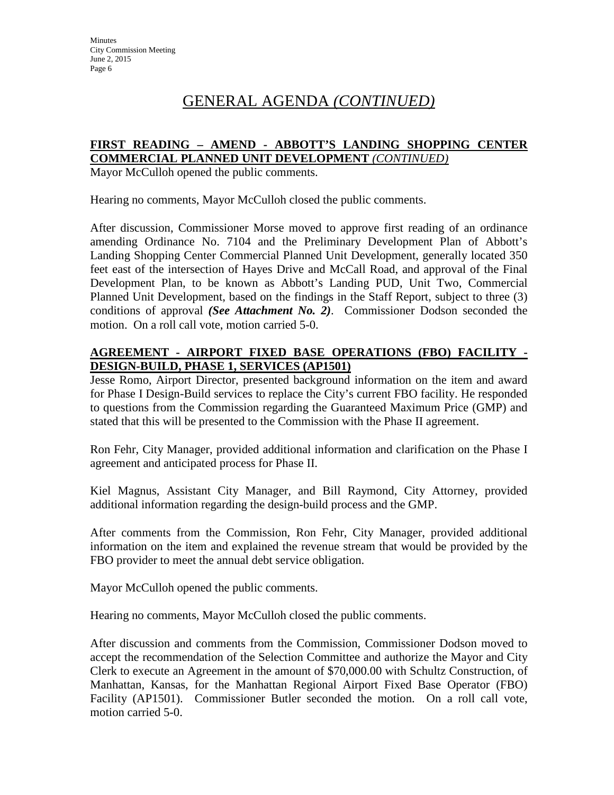# GENERAL AGENDA *(CONTINUED)*

#### **FIRST READING – AMEND - ABBOTT'S LANDING SHOPPING CENTER COMMERCIAL PLANNED UNIT DEVELOPMENT** *(CONTINUED)*

Mayor McCulloh opened the public comments.

Hearing no comments, Mayor McCulloh closed the public comments.

After discussion, Commissioner Morse moved to approve first reading of an ordinance amending Ordinance No. 7104 and the Preliminary Development Plan of Abbott's Landing Shopping Center Commercial Planned Unit Development, generally located 350 feet east of the intersection of Hayes Drive and McCall Road, and approval of the Final Development Plan, to be known as Abbott's Landing PUD, Unit Two, Commercial Planned Unit Development, based on the findings in the Staff Report, subject to three (3) conditions of approval *(See Attachment No. 2)*. Commissioner Dodson seconded the motion. On a roll call vote, motion carried 5-0.

### **AGREEMENT - AIRPORT FIXED BASE OPERATIONS (FBO) FACILITY - DESIGN-BUILD, PHASE 1, SERVICES (AP1501)**

Jesse Romo, Airport Director, presented background information on the item and award for Phase I Design-Build services to replace the City's current FBO facility. He responded to questions from the Commission regarding the Guaranteed Maximum Price (GMP) and stated that this will be presented to the Commission with the Phase II agreement.

Ron Fehr, City Manager, provided additional information and clarification on the Phase I agreement and anticipated process for Phase II.

Kiel Magnus, Assistant City Manager, and Bill Raymond, City Attorney, provided additional information regarding the design-build process and the GMP.

After comments from the Commission, Ron Fehr, City Manager, provided additional information on the item and explained the revenue stream that would be provided by the FBO provider to meet the annual debt service obligation.

Mayor McCulloh opened the public comments.

Hearing no comments, Mayor McCulloh closed the public comments.

After discussion and comments from the Commission, Commissioner Dodson moved to accept the recommendation of the Selection Committee and authorize the Mayor and City Clerk to execute an Agreement in the amount of \$70,000.00 with Schultz Construction, of Manhattan, Kansas, for the Manhattan Regional Airport Fixed Base Operator (FBO) Facility (AP1501). Commissioner Butler seconded the motion. On a roll call vote, motion carried 5-0.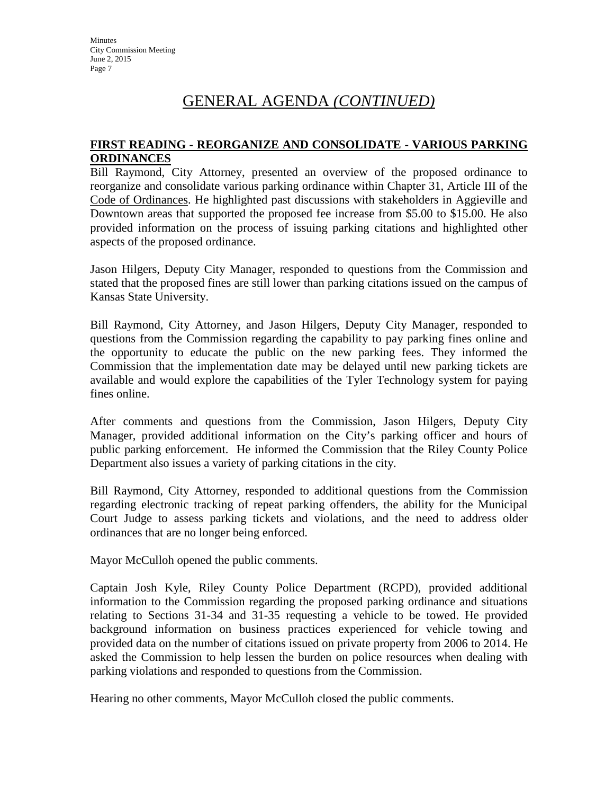# GENERAL AGENDA *(CONTINUED)*

#### **FIRST READING - REORGANIZE AND CONSOLIDATE - VARIOUS PARKING ORDINANCES**

Bill Raymond, City Attorney, presented an overview of the proposed ordinance to reorganize and consolidate various parking ordinance within Chapter 31, Article III of the Code of Ordinances. He highlighted past discussions with stakeholders in Aggieville and Downtown areas that supported the proposed fee increase from \$5.00 to \$15.00. He also provided information on the process of issuing parking citations and highlighted other aspects of the proposed ordinance.

Jason Hilgers, Deputy City Manager, responded to questions from the Commission and stated that the proposed fines are still lower than parking citations issued on the campus of Kansas State University.

Bill Raymond, City Attorney, and Jason Hilgers, Deputy City Manager, responded to questions from the Commission regarding the capability to pay parking fines online and the opportunity to educate the public on the new parking fees. They informed the Commission that the implementation date may be delayed until new parking tickets are available and would explore the capabilities of the Tyler Technology system for paying fines online.

After comments and questions from the Commission, Jason Hilgers, Deputy City Manager, provided additional information on the City's parking officer and hours of public parking enforcement. He informed the Commission that the Riley County Police Department also issues a variety of parking citations in the city.

Bill Raymond, City Attorney, responded to additional questions from the Commission regarding electronic tracking of repeat parking offenders, the ability for the Municipal Court Judge to assess parking tickets and violations, and the need to address older ordinances that are no longer being enforced.

Mayor McCulloh opened the public comments.

Captain Josh Kyle, Riley County Police Department (RCPD), provided additional information to the Commission regarding the proposed parking ordinance and situations relating to Sections 31-34 and 31-35 requesting a vehicle to be towed. He provided background information on business practices experienced for vehicle towing and provided data on the number of citations issued on private property from 2006 to 2014. He asked the Commission to help lessen the burden on police resources when dealing with parking violations and responded to questions from the Commission.

Hearing no other comments, Mayor McCulloh closed the public comments.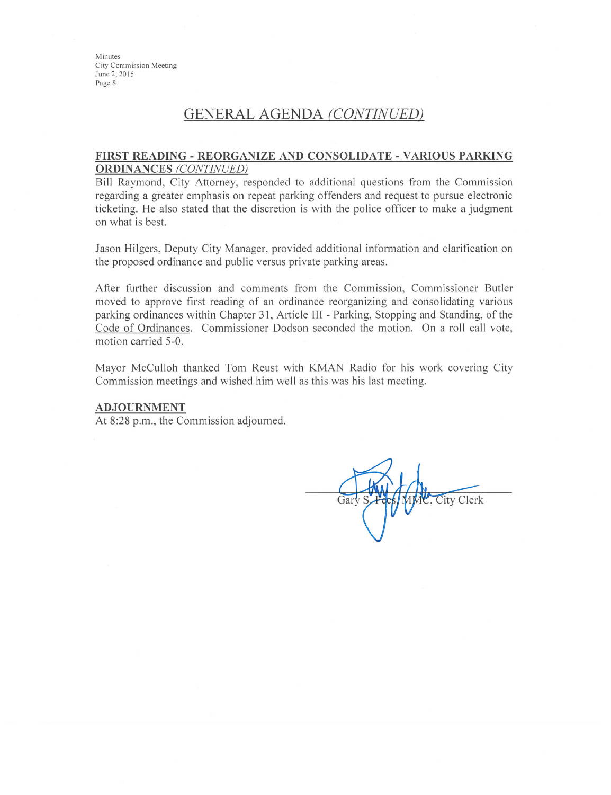## GENERAL AGENDA (CONTINUED)

#### FIRST READING - REORGANIZE AND CONSOLIDATE - VARIOUS PARKING **ORDINANCES** (CONTINUED)

Bill Raymond, City Attorney, responded to additional questions from the Commission regarding a greater emphasis on repeat parking offenders and request to pursue electronic ticketing. He also stated that the discretion is with the police officer to make a judgment on what is best.

Jason Hilgers, Deputy City Manager, provided additional information and clarification on the proposed ordinance and public versus private parking areas.

After further discussion and comments from the Commission, Commissioner Butler moved to approve first reading of an ordinance reorganizing and consolidating various parking ordinances within Chapter 31, Article III - Parking, Stopping and Standing, of the Code of Ordinances. Commissioner Dodson seconded the motion. On a roll call vote, motion carried 5-0.

Mayor McCulloh thanked Tom Reust with KMAN Radio for his work covering City Commission meetings and wished him well as this was his last meeting.

#### **ADJOURNMENT**

At 8:28 p.m., the Commission adjourned.

**City Clerk** Gar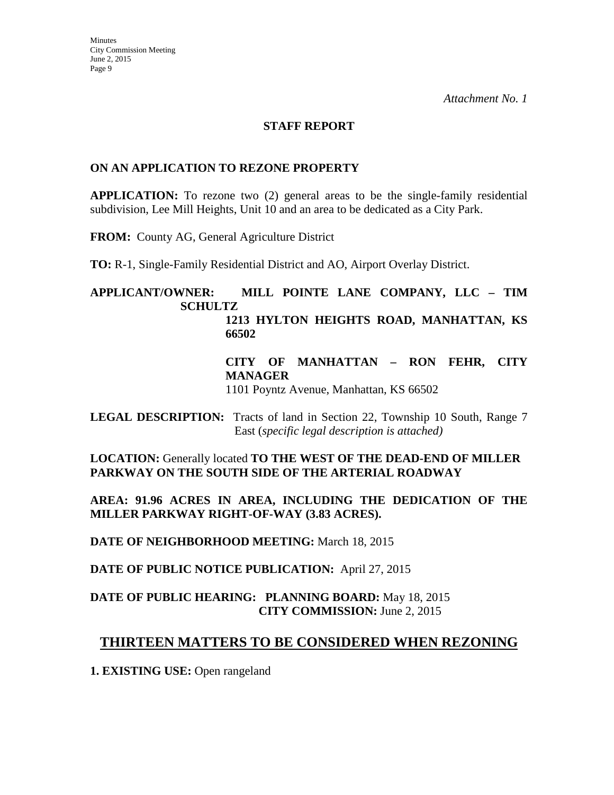#### **STAFF REPORT**

#### **ON AN APPLICATION TO REZONE PROPERTY**

**APPLICATION:** To rezone two (2) general areas to be the single-family residential subdivision, Lee Mill Heights, Unit 10 and an area to be dedicated as a City Park.

**FROM:** County AG, General Agriculture District

**TO:** R-1, Single-Family Residential District and AO, Airport Overlay District.

#### **APPLICANT/OWNER: MILL POINTE LANE COMPANY, LLC – TIM SCHULTZ 1213 HYLTON HEIGHTS ROAD, MANHATTAN, KS 66502**

**CITY OF MANHATTAN – RON FEHR, CITY MANAGER**

1101 Poyntz Avenue, Manhattan, KS 66502

**LEGAL DESCRIPTION:** Tracts of land in Section 22, Township 10 South, Range 7 East (*specific legal description is attached)*

**LOCATION:** Generally located **TO THE WEST OF THE DEAD-END OF MILLER PARKWAY ON THE SOUTH SIDE OF THE ARTERIAL ROADWAY**

**AREA: 91.96 ACRES IN AREA, INCLUDING THE DEDICATION OF THE MILLER PARKWAY RIGHT-OF-WAY (3.83 ACRES).**

**DATE OF NEIGHBORHOOD MEETING:** March 18, 2015

**DATE OF PUBLIC NOTICE PUBLICATION:** April 27, 2015

### **DATE OF PUBLIC HEARING: PLANNING BOARD:** May 18, 2015 **CITY COMMISSION:** June 2, 2015

## **THIRTEEN MATTERS TO BE CONSIDERED WHEN REZONING**

**1. EXISTING USE:** Open rangeland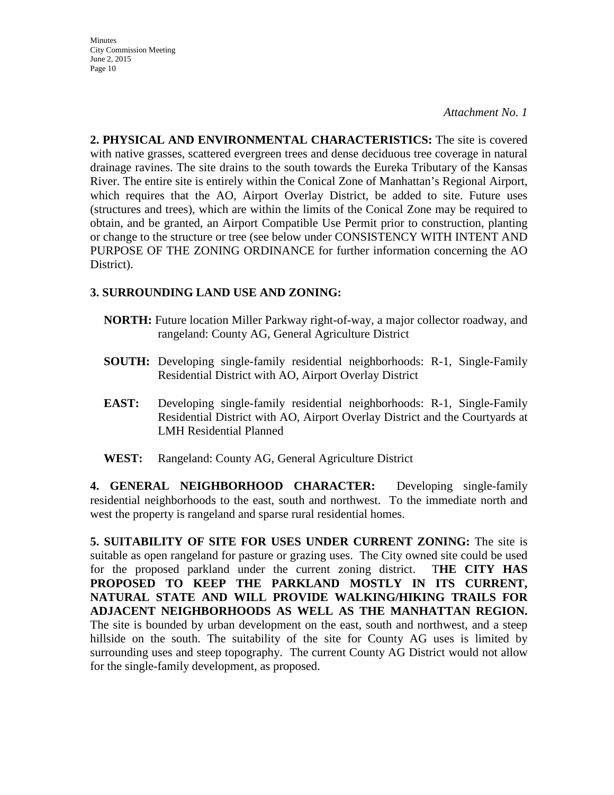*Attachment No. 1*

**2. PHYSICAL AND ENVIRONMENTAL CHARACTERISTICS:** The site is covered with native grasses, scattered evergreen trees and dense deciduous tree coverage in natural drainage ravines. The site drains to the south towards the Eureka Tributary of the Kansas River. The entire site is entirely within the Conical Zone of Manhattan's Regional Airport, which requires that the AO, Airport Overlay District, be added to site. Future uses (structures and trees), which are within the limits of the Conical Zone may be required to obtain, and be granted, an Airport Compatible Use Permit prior to construction, planting or change to the structure or tree (see below under CONSISTENCY WITH INTENT AND PURPOSE OF THE ZONING ORDINANCE for further information concerning the AO District).

### **3. SURROUNDING LAND USE AND ZONING:**

- **NORTH:** Future location Miller Parkway right-of-way, a major collector roadway, and rangeland: County AG, General Agriculture District
- **SOUTH:** Developing single-family residential neighborhoods: R-1, Single-Family Residential District with AO, Airport Overlay District
- **EAST:** Developing single-family residential neighborhoods: R-1, Single-Family Residential District with AO, Airport Overlay District and the Courtyards at LMH Residential Planned
- **WEST:** Rangeland: County AG, General Agriculture District

**4. GENERAL NEIGHBORHOOD CHARACTER:** Developing single-family residential neighborhoods to the east, south and northwest. To the immediate north and west the property is rangeland and sparse rural residential homes.

**5. SUITABILITY OF SITE FOR USES UNDER CURRENT ZONING:** The site is suitable as open rangeland for pasture or grazing uses. The City owned site could be used for the proposed parkland under the current zoning district. T**HE CITY HAS PROPOSED TO KEEP THE PARKLAND MOSTLY IN ITS CURRENT, NATURAL STATE AND WILL PROVIDE WALKING/HIKING TRAILS FOR ADJACENT NEIGHBORHOODS AS WELL AS THE MANHATTAN REGION.**  The site is bounded by urban development on the east, south and northwest, and a steep hillside on the south. The suitability of the site for County AG uses is limited by surrounding uses and steep topography. The current County AG District would not allow for the single-family development, as proposed.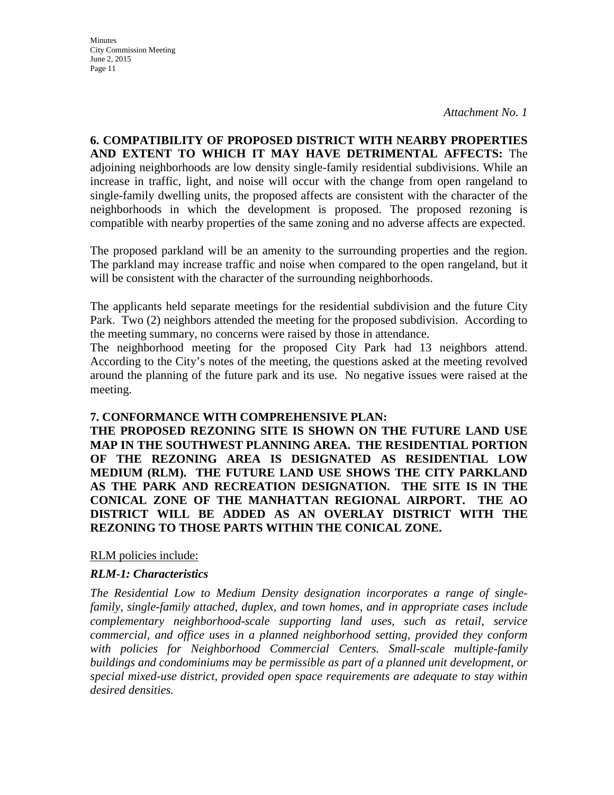**Minutes** City Commission Meeting June 2, 2015 Page 11

**6. COMPATIBILITY OF PROPOSED DISTRICT WITH NEARBY PROPERTIES AND EXTENT TO WHICH IT MAY HAVE DETRIMENTAL AFFECTS:** The adjoining neighborhoods are low density single-family residential subdivisions. While an increase in traffic, light, and noise will occur with the change from open rangeland to single-family dwelling units, the proposed affects are consistent with the character of the neighborhoods in which the development is proposed. The proposed rezoning is compatible with nearby properties of the same zoning and no adverse affects are expected.

The proposed parkland will be an amenity to the surrounding properties and the region. The parkland may increase traffic and noise when compared to the open rangeland, but it will be consistent with the character of the surrounding neighborhoods.

The applicants held separate meetings for the residential subdivision and the future City Park. Two (2) neighbors attended the meeting for the proposed subdivision. According to the meeting summary, no concerns were raised by those in attendance.

The neighborhood meeting for the proposed City Park had 13 neighbors attend. According to the City's notes of the meeting, the questions asked at the meeting revolved around the planning of the future park and its use. No negative issues were raised at the meeting.

#### **7. CONFORMANCE WITH COMPREHENSIVE PLAN:**

**THE PROPOSED REZONING SITE IS SHOWN ON THE FUTURE LAND USE MAP IN THE SOUTHWEST PLANNING AREA. THE RESIDENTIAL PORTION OF THE REZONING AREA IS DESIGNATED AS RESIDENTIAL LOW MEDIUM (RLM). THE FUTURE LAND USE SHOWS THE CITY PARKLAND AS THE PARK AND RECREATION DESIGNATION. THE SITE IS IN THE CONICAL ZONE OF THE MANHATTAN REGIONAL AIRPORT. THE AO DISTRICT WILL BE ADDED AS AN OVERLAY DISTRICT WITH THE REZONING TO THOSE PARTS WITHIN THE CONICAL ZONE.**

RLM policies include:

### *RLM-1: Characteristics*

*The Residential Low to Medium Density designation incorporates a range of singlefamily, single-family attached, duplex, and town homes, and in appropriate cases include complementary neighborhood-scale supporting land uses, such as retail, service commercial, and office uses in a planned neighborhood setting, provided they conform with policies for Neighborhood Commercial Centers. Small-scale multiple-family buildings and condominiums may be permissible as part of a planned unit development, or special mixed-use district, provided open space requirements are adequate to stay within desired densities.*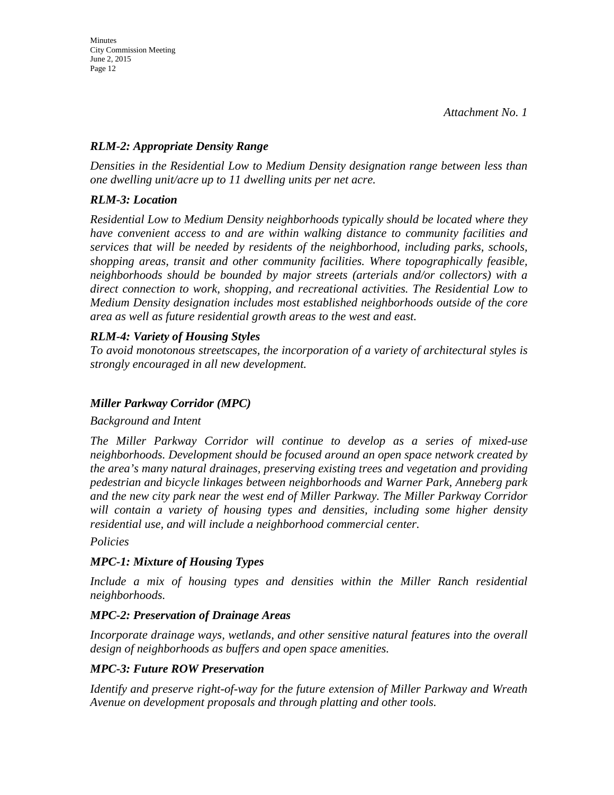### *RLM-2: Appropriate Density Range*

*Densities in the Residential Low to Medium Density designation range between less than one dwelling unit/acre up to 11 dwelling units per net acre.* 

#### *RLM-3: Location*

*Residential Low to Medium Density neighborhoods typically should be located where they have convenient access to and are within walking distance to community facilities and services that will be needed by residents of the neighborhood, including parks, schools, shopping areas, transit and other community facilities. Where topographically feasible, neighborhoods should be bounded by major streets (arterials and/or collectors) with a direct connection to work, shopping, and recreational activities. The Residential Low to Medium Density designation includes most established neighborhoods outside of the core area as well as future residential growth areas to the west and east.* 

### *RLM-4: Variety of Housing Styles*

*To avoid monotonous streetscapes, the incorporation of a variety of architectural styles is strongly encouraged in all new development.*

### *Miller Parkway Corridor (MPC)*

*Background and Intent* 

*The Miller Parkway Corridor will continue to develop as a series of mixed-use neighborhoods. Development should be focused around an open space network created by the area's many natural drainages, preserving existing trees and vegetation and providing pedestrian and bicycle linkages between neighborhoods and Warner Park, Anneberg park and the new city park near the west end of Miller Parkway. The Miller Parkway Corridor will contain a variety of housing types and densities, including some higher density residential use, and will include a neighborhood commercial center.* 

#### *Policies*

### *MPC-1: Mixture of Housing Types*

*Include a mix of housing types and densities within the Miller Ranch residential neighborhoods.* 

#### *MPC-2: Preservation of Drainage Areas*

*Incorporate drainage ways, wetlands, and other sensitive natural features into the overall design of neighborhoods as buffers and open space amenities.* 

### *MPC-3: Future ROW Preservation*

*Identify and preserve right-of-way for the future extension of Miller Parkway and Wreath Avenue on development proposals and through platting and other tools.*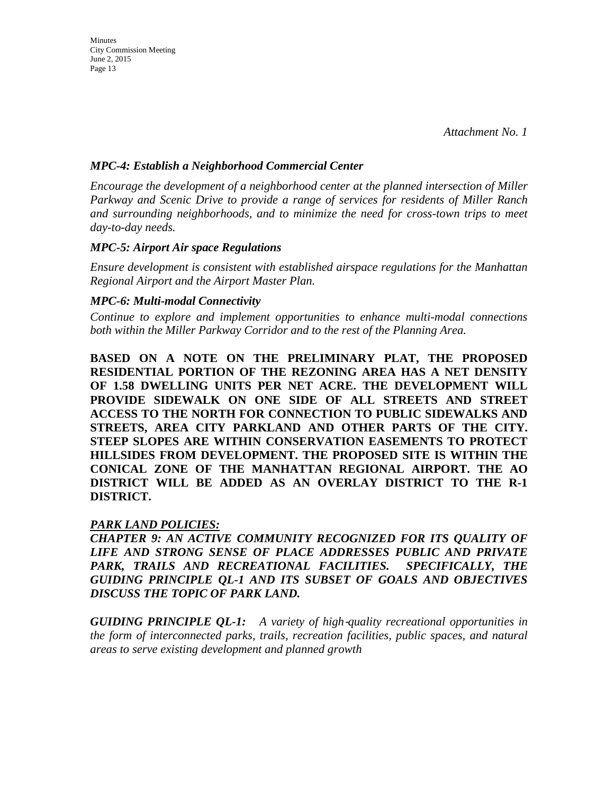*Attachment No. 1*

#### *MPC-4: Establish a Neighborhood Commercial Center*

*Encourage the development of a neighborhood center at the planned intersection of Miller Parkway and Scenic Drive to provide a range of services for residents of Miller Ranch and surrounding neighborhoods, and to minimize the need for cross-town trips to meet day-to-day needs.* 

#### *MPC-5: Airport Air space Regulations*

*Ensure development is consistent with established airspace regulations for the Manhattan Regional Airport and the Airport Master Plan.* 

#### *MPC-6: Multi-modal Connectivity*

*Continue to explore and implement opportunities to enhance multi-modal connections both within the Miller Parkway Corridor and to the rest of the Planning Area.*

**BASED ON A NOTE ON THE PRELIMINARY PLAT, THE PROPOSED RESIDENTIAL PORTION OF THE REZONING AREA HAS A NET DENSITY OF 1.58 DWELLING UNITS PER NET ACRE. THE DEVELOPMENT WILL PROVIDE SIDEWALK ON ONE SIDE OF ALL STREETS AND STREET ACCESS TO THE NORTH FOR CONNECTION TO PUBLIC SIDEWALKS AND STREETS, AREA CITY PARKLAND AND OTHER PARTS OF THE CITY. STEEP SLOPES ARE WITHIN CONSERVATION EASEMENTS TO PROTECT HILLSIDES FROM DEVELOPMENT. THE PROPOSED SITE IS WITHIN THE CONICAL ZONE OF THE MANHATTAN REGIONAL AIRPORT. THE AO DISTRICT WILL BE ADDED AS AN OVERLAY DISTRICT TO THE R-1 DISTRICT.**

### *PARK LAND POLICIES:*

*CHAPTER 9: AN ACTIVE COMMUNITY RECOGNIZED FOR ITS QUALITY OF LIFE AND STRONG SENSE OF PLACE ADDRESSES PUBLIC AND PRIVATE PARK, TRAILS AND RECREATIONAL FACILITIES. SPECIFICALLY, THE GUIDING PRINCIPLE QL-1 AND ITS SUBSET OF GOALS AND OBJECTIVES DISCUSS THE TOPIC OF PARK LAND.* 

*GUIDING PRINCIPLE QL-1: A variety of high*‐*quality recreational opportunities in the form of interconnected parks, trails, recreation facilities, public spaces, and natural areas to serve existing development and planned growth*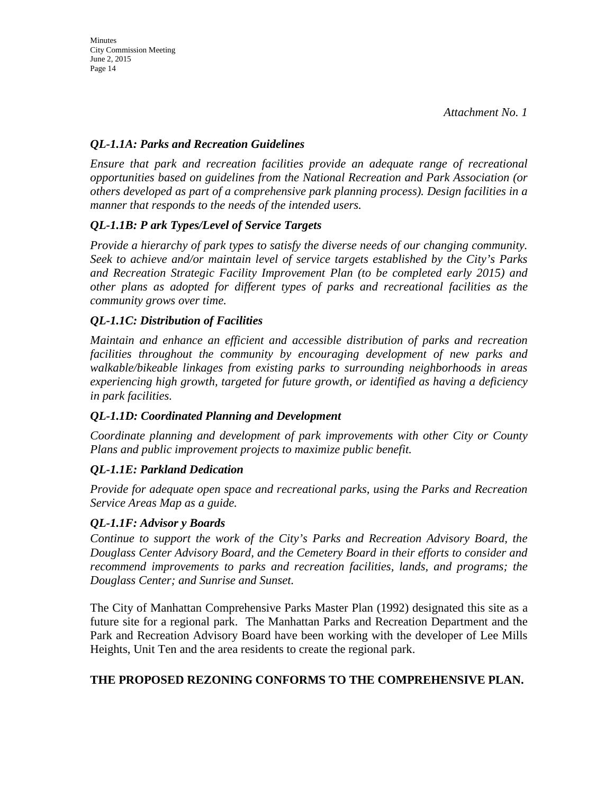### *QL-1.1A: Parks and Recreation Guidelines*

*Ensure that park and recreation facilities provide an adequate range of recreational opportunities based on guidelines from the National Recreation and Park Association (or others developed as part of a comprehensive park planning process). Design facilities in a manner that responds to the needs of the intended users.* 

## *QL-1.1B: P ark Types/Level of Service Targets*

*Provide a hierarchy of park types to satisfy the diverse needs of our changing community. Seek to achieve and/or maintain level of service targets established by the City's Parks and Recreation Strategic Facility Improvement Plan (to be completed early 2015) and other plans as adopted for different types of parks and recreational facilities as the community grows over time.* 

### *QL-1.1C: Distribution of Facilities*

*Maintain and enhance an efficient and accessible distribution of parks and recreation facilities throughout the community by encouraging development of new parks and walkable/bikeable linkages from existing parks to surrounding neighborhoods in areas experiencing high growth, targeted for future growth, or identified as having a deficiency in park facilities.* 

### *QL-1.1D: Coordinated Planning and Development*

*Coordinate planning and development of park improvements with other City or County Plans and public improvement projects to maximize public benefit.* 

## *QL-1.1E: Parkland Dedication*

*Provide for adequate open space and recreational parks, using the Parks and Recreation Service Areas Map as a guide.* 

### *QL-1.1F: Advisor y Boards*

*Continue to support the work of the City's Parks and Recreation Advisory Board, the Douglass Center Advisory Board, and the Cemetery Board in their efforts to consider and recommend improvements to parks and recreation facilities, lands, and programs; the Douglass Center; and Sunrise and Sunset.*

The City of Manhattan Comprehensive Parks Master Plan (1992) designated this site as a future site for a regional park. The Manhattan Parks and Recreation Department and the Park and Recreation Advisory Board have been working with the developer of Lee Mills Heights, Unit Ten and the area residents to create the regional park.

### **THE PROPOSED REZONING CONFORMS TO THE COMPREHENSIVE PLAN.**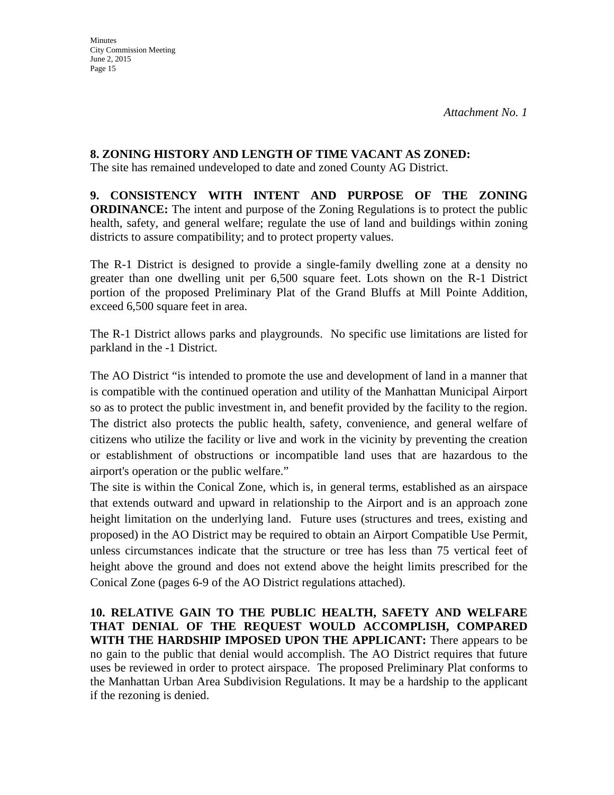### **8. ZONING HISTORY AND LENGTH OF TIME VACANT AS ZONED:**

The site has remained undeveloped to date and zoned County AG District.

**9. CONSISTENCY WITH INTENT AND PURPOSE OF THE ZONING ORDINANCE:** The intent and purpose of the Zoning Regulations is to protect the public health, safety, and general welfare; regulate the use of land and buildings within zoning districts to assure compatibility; and to protect property values.

The R-1 District is designed to provide a single-family dwelling zone at a density no greater than one dwelling unit per 6,500 square feet. Lots shown on the R-1 District portion of the proposed Preliminary Plat of the Grand Bluffs at Mill Pointe Addition, exceed 6,500 square feet in area.

The R-1 District allows parks and playgrounds. No specific use limitations are listed for parkland in the -1 District.

The AO District "is intended to promote the use and development of land in a manner that is compatible with the continued operation and utility of the Manhattan Municipal Airport so as to protect the public investment in, and benefit provided by the facility to the region. The district also protects the public health, safety, convenience, and general welfare of citizens who utilize the facility or live and work in the vicinity by preventing the creation or establishment of obstructions or incompatible land uses that are hazardous to the airport's operation or the public welfare."

The site is within the Conical Zone, which is, in general terms, established as an airspace that extends outward and upward in relationship to the Airport and is an approach zone height limitation on the underlying land. Future uses (structures and trees, existing and proposed) in the AO District may be required to obtain an Airport Compatible Use Permit, unless circumstances indicate that the structure or tree has less than 75 vertical feet of height above the ground and does not extend above the height limits prescribed for the Conical Zone (pages 6-9 of the AO District regulations attached).

**10. RELATIVE GAIN TO THE PUBLIC HEALTH, SAFETY AND WELFARE THAT DENIAL OF THE REQUEST WOULD ACCOMPLISH, COMPARED WITH THE HARDSHIP IMPOSED UPON THE APPLICANT:** There appears to be no gain to the public that denial would accomplish. The AO District requires that future uses be reviewed in order to protect airspace. The proposed Preliminary Plat conforms to the Manhattan Urban Area Subdivision Regulations. It may be a hardship to the applicant if the rezoning is denied.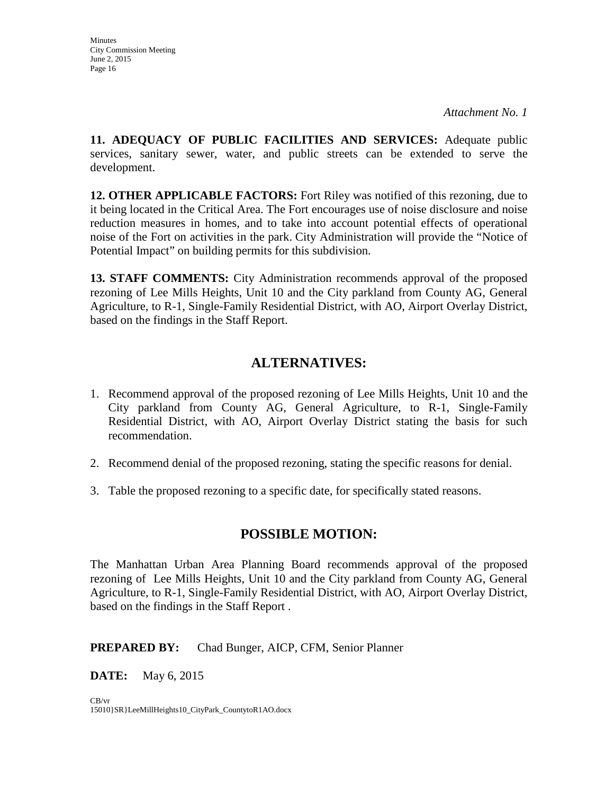**11. ADEQUACY OF PUBLIC FACILITIES AND SERVICES:** Adequate public services, sanitary sewer, water, and public streets can be extended to serve the development.

**12. OTHER APPLICABLE FACTORS:** Fort Riley was notified of this rezoning, due to it being located in the Critical Area. The Fort encourages use of noise disclosure and noise reduction measures in homes, and to take into account potential effects of operational noise of the Fort on activities in the park. City Administration will provide the "Notice of Potential Impact" on building permits for this subdivision.

**13. STAFF COMMENTS:** City Administration recommends approval of the proposed rezoning of Lee Mills Heights, Unit 10 and the City parkland from County AG, General Agriculture, to R-1, Single-Family Residential District, with AO, Airport Overlay District, based on the findings in the Staff Report.

## **ALTERNATIVES:**

- 1. Recommend approval of the proposed rezoning of Lee Mills Heights, Unit 10 and the City parkland from County AG, General Agriculture, to R-1, Single-Family Residential District, with AO, Airport Overlay District stating the basis for such recommendation.
- 2. Recommend denial of the proposed rezoning, stating the specific reasons for denial.
- 3. Table the proposed rezoning to a specific date, for specifically stated reasons.

## **POSSIBLE MOTION:**

The Manhattan Urban Area Planning Board recommends approval of the proposed rezoning of Lee Mills Heights, Unit 10 and the City parkland from County AG, General Agriculture, to R-1, Single-Family Residential District, with AO, Airport Overlay District, based on the findings in the Staff Report .

### **PREPARED BY:** Chad Bunger, AICP, CFM, Senior Planner

**DATE:** May 6, 2015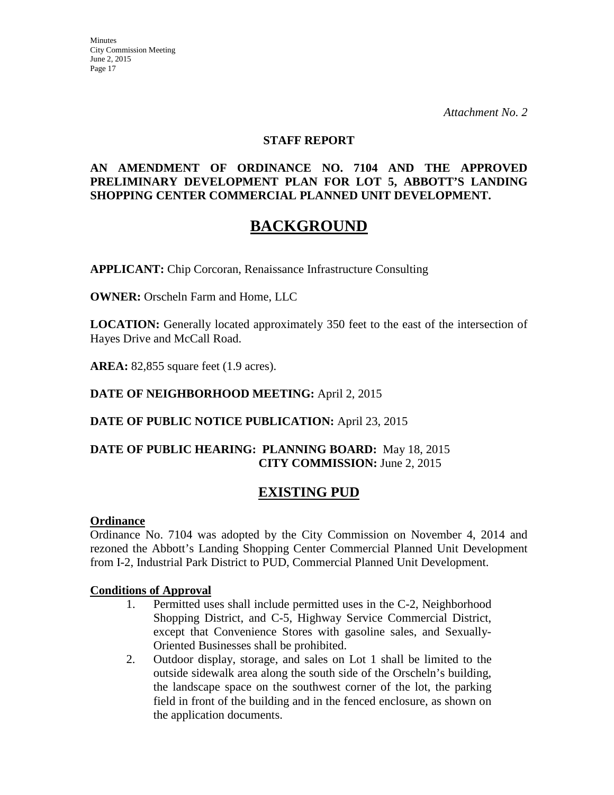*Attachment No. 2*

#### **STAFF REPORT**

#### **AN AMENDMENT OF ORDINANCE NO. 7104 AND THE APPROVED PRELIMINARY DEVELOPMENT PLAN FOR LOT 5, ABBOTT'S LANDING SHOPPING CENTER COMMERCIAL PLANNED UNIT DEVELOPMENT.**

## **BACKGROUND**

**APPLICANT:** Chip Corcoran, Renaissance Infrastructure Consulting

**OWNER:** Orscheln Farm and Home, LLC

**LOCATION:** Generally located approximately 350 feet to the east of the intersection of Hayes Drive and McCall Road.

**AREA:** 82,855 square feet (1.9 acres).

#### **DATE OF NEIGHBORHOOD MEETING:** April 2, 2015

#### **DATE OF PUBLIC NOTICE PUBLICATION:** April 23, 2015

#### **DATE OF PUBLIC HEARING: PLANNING BOARD:** May 18, 2015 **CITY COMMISSION:** June 2, 2015

## **EXISTING PUD**

#### **Ordinance**

Ordinance No. 7104 was adopted by the City Commission on November 4, 2014 and rezoned the Abbott's Landing Shopping Center Commercial Planned Unit Development from I-2, Industrial Park District to PUD, Commercial Planned Unit Development.

#### **Conditions of Approval**

- 1. Permitted uses shall include permitted uses in the C-2, Neighborhood Shopping District, and C-5, Highway Service Commercial District, except that Convenience Stores with gasoline sales, and Sexually-Oriented Businesses shall be prohibited.
- 2. Outdoor display, storage, and sales on Lot 1 shall be limited to the outside sidewalk area along the south side of the Orscheln's building, the landscape space on the southwest corner of the lot, the parking field in front of the building and in the fenced enclosure, as shown on the application documents.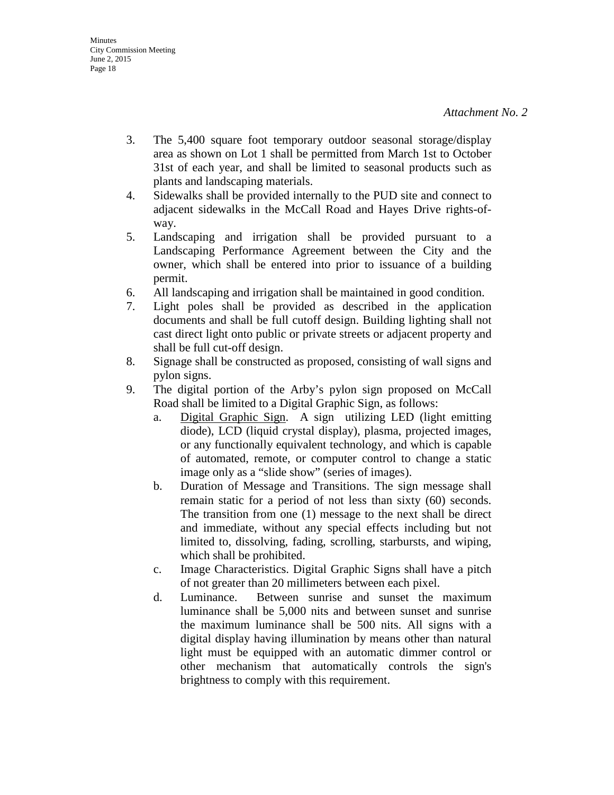- 3. The 5,400 square foot temporary outdoor seasonal storage/display area as shown on Lot 1 shall be permitted from March 1st to October 31st of each year, and shall be limited to seasonal products such as plants and landscaping materials.
- 4. Sidewalks shall be provided internally to the PUD site and connect to adjacent sidewalks in the McCall Road and Hayes Drive rights-ofway.
- 5. Landscaping and irrigation shall be provided pursuant to a Landscaping Performance Agreement between the City and the owner, which shall be entered into prior to issuance of a building permit.
- 6. All landscaping and irrigation shall be maintained in good condition.
- 7. Light poles shall be provided as described in the application documents and shall be full cutoff design. Building lighting shall not cast direct light onto public or private streets or adjacent property and shall be full cut-off design.
- 8. Signage shall be constructed as proposed, consisting of wall signs and pylon signs.
- 9. The digital portion of the Arby's pylon sign proposed on McCall Road shall be limited to a Digital Graphic Sign, as follows:
	- a. Digital Graphic Sign. A sign utilizing LED (light emitting diode), LCD (liquid crystal display), plasma, projected images, or any functionally equivalent technology, and which is capable of automated, remote, or computer control to change a static image only as a "slide show" (series of images).
	- b. Duration of Message and Transitions. The sign message shall remain static for a period of not less than sixty (60) seconds. The transition from one (1) message to the next shall be direct and immediate, without any special effects including but not limited to, dissolving, fading, scrolling, starbursts, and wiping, which shall be prohibited.
	- c. Image Characteristics. Digital Graphic Signs shall have a pitch of not greater than 20 millimeters between each pixel.
	- d. Luminance. Between sunrise and sunset the maximum luminance shall be 5,000 nits and between sunset and sunrise the maximum luminance shall be 500 nits. All signs with a digital display having illumination by means other than natural light must be equipped with an automatic dimmer control or other mechanism that automatically controls the sign's brightness to comply with this requirement.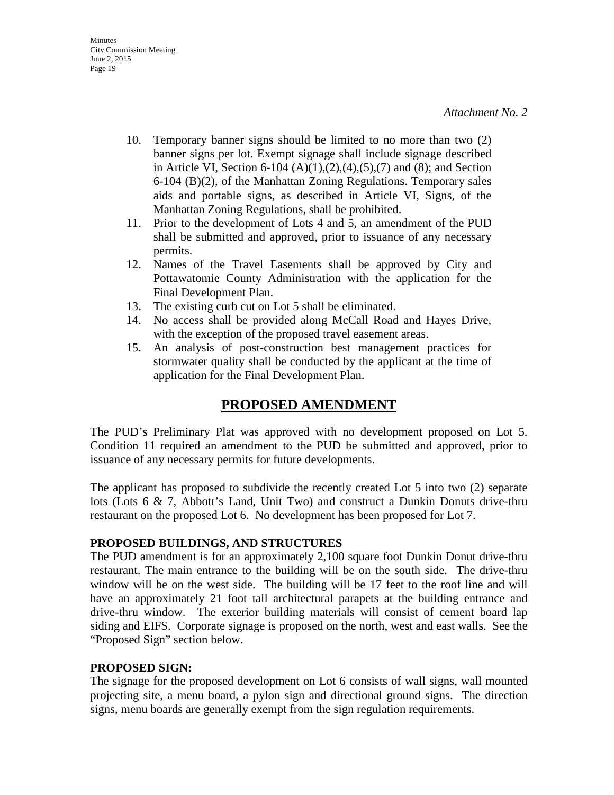- 10. Temporary banner signs should be limited to no more than two (2) banner signs per lot. Exempt signage shall include signage described in Article VI, Section 6-104  $(A)(1),(2),(4),(5),(7)$  and  $(8)$ ; and Section 6-104 (B)(2), of the Manhattan Zoning Regulations. Temporary sales aids and portable signs, as described in Article VI, Signs, of the Manhattan Zoning Regulations, shall be prohibited.
- 11. Prior to the development of Lots 4 and 5, an amendment of the PUD shall be submitted and approved, prior to issuance of any necessary permits.
- 12. Names of the Travel Easements shall be approved by City and Pottawatomie County Administration with the application for the Final Development Plan.
- 13. The existing curb cut on Lot 5 shall be eliminated.
- 14. No access shall be provided along McCall Road and Hayes Drive, with the exception of the proposed travel easement areas.
- 15. An analysis of post-construction best management practices for stormwater quality shall be conducted by the applicant at the time of application for the Final Development Plan.

## **PROPOSED AMENDMENT**

The PUD's Preliminary Plat was approved with no development proposed on Lot 5. Condition 11 required an amendment to the PUD be submitted and approved, prior to issuance of any necessary permits for future developments.

The applicant has proposed to subdivide the recently created Lot 5 into two (2) separate lots (Lots 6 & 7, Abbott's Land, Unit Two) and construct a Dunkin Donuts drive-thru restaurant on the proposed Lot 6. No development has been proposed for Lot 7.

### **PROPOSED BUILDINGS, AND STRUCTURES**

The PUD amendment is for an approximately 2,100 square foot Dunkin Donut drive-thru restaurant. The main entrance to the building will be on the south side. The drive-thru window will be on the west side. The building will be 17 feet to the roof line and will have an approximately 21 foot tall architectural parapets at the building entrance and drive-thru window. The exterior building materials will consist of cement board lap siding and EIFS. Corporate signage is proposed on the north, west and east walls. See the "Proposed Sign" section below.

### **PROPOSED SIGN:**

The signage for the proposed development on Lot 6 consists of wall signs, wall mounted projecting site, a menu board, a pylon sign and directional ground signs. The direction signs, menu boards are generally exempt from the sign regulation requirements.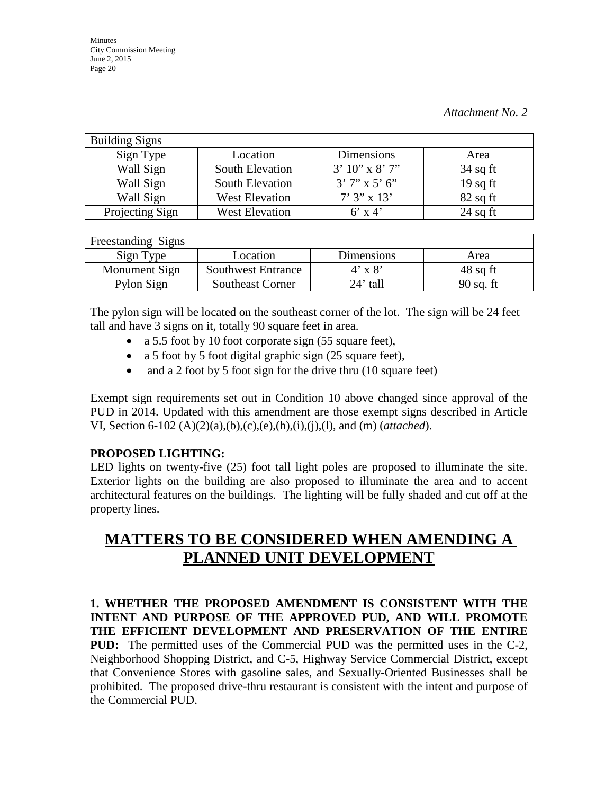| <b>Building Signs</b> |                       |                    |            |
|-----------------------|-----------------------|--------------------|------------|
| Sign Type             | Location              | Dimensions         | Area       |
| Wall Sign             | South Elevation       | $3'10''$ x $8'7''$ | $34$ sq ft |
| Wall Sign             | South Elevation       | $3'7''$ x 5' 6"    | $19$ sq ft |
| Wall Sign             | <b>West Elevation</b> | $7'3'' \times 13'$ | $82$ sq ft |
| Projecting Sign       | <b>West Elevation</b> | $6'$ x 4'          | $24$ sq ft |

| Freestanding Signs |                           |                |             |
|--------------------|---------------------------|----------------|-------------|
| Sign Type          | Location                  | Dimensions     | Area        |
| Monument Sign      | <b>Southwest Entrance</b> | $4' \times 8'$ | $48$ sq ft  |
| Pylon Sign         | <b>Southeast Corner</b>   | $24'$ tall     | $90$ sq. ft |

The pylon sign will be located on the southeast corner of the lot. The sign will be 24 feet tall and have 3 signs on it, totally 90 square feet in area.

- a 5.5 foot by 10 foot corporate sign (55 square feet),
- a 5 foot by 5 foot digital graphic sign (25 square feet),
- and a 2 foot by 5 foot sign for the drive thru (10 square feet)

Exempt sign requirements set out in Condition 10 above changed since approval of the PUD in 2014. Updated with this amendment are those exempt signs described in Article VI, Section 6-102 (A)(2)(a),(b),(c),(e),(h),(i),(j),(l), and (m) (*attached*).

### **PROPOSED LIGHTING:**

LED lights on twenty-five (25) foot tall light poles are proposed to illuminate the site. Exterior lights on the building are also proposed to illuminate the area and to accent architectural features on the buildings. The lighting will be fully shaded and cut off at the property lines.

# **MATTERS TO BE CONSIDERED WHEN AMENDING A PLANNED UNIT DEVELOPMENT**

**1. WHETHER THE PROPOSED AMENDMENT IS CONSISTENT WITH THE INTENT AND PURPOSE OF THE APPROVED PUD, AND WILL PROMOTE THE EFFICIENT DEVELOPMENT AND PRESERVATION OF THE ENTIRE PUD:** The permitted uses of the Commercial PUD was the permitted uses in the C-2, Neighborhood Shopping District, and C-5, Highway Service Commercial District, except that Convenience Stores with gasoline sales, and Sexually-Oriented Businesses shall be prohibited. The proposed drive-thru restaurant is consistent with the intent and purpose of the Commercial PUD.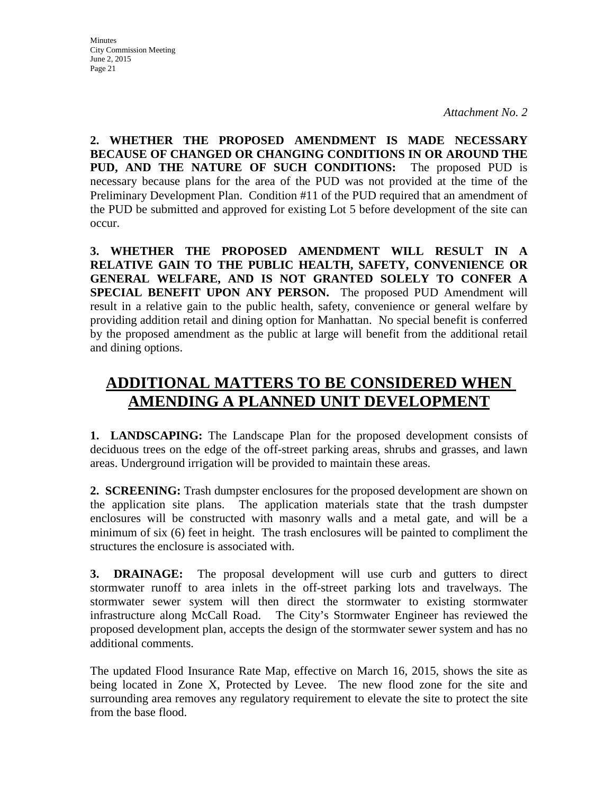**2. WHETHER THE PROPOSED AMENDMENT IS MADE NECESSARY BECAUSE OF CHANGED OR CHANGING CONDITIONS IN OR AROUND THE PUD, AND THE NATURE OF SUCH CONDITIONS:** The proposed PUD is necessary because plans for the area of the PUD was not provided at the time of the Preliminary Development Plan. Condition #11 of the PUD required that an amendment of the PUD be submitted and approved for existing Lot 5 before development of the site can occur.

**3. WHETHER THE PROPOSED AMENDMENT WILL RESULT IN A RELATIVE GAIN TO THE PUBLIC HEALTH, SAFETY, CONVENIENCE OR GENERAL WELFARE, AND IS NOT GRANTED SOLELY TO CONFER A SPECIAL BENEFIT UPON ANY PERSON.** The proposed PUD Amendment will result in a relative gain to the public health, safety, convenience or general welfare by providing addition retail and dining option for Manhattan. No special benefit is conferred by the proposed amendment as the public at large will benefit from the additional retail and dining options.

# **ADDITIONAL MATTERS TO BE CONSIDERED WHEN AMENDING A PLANNED UNIT DEVELOPMENT**

**1. LANDSCAPING:** The Landscape Plan for the proposed development consists of deciduous trees on the edge of the off-street parking areas, shrubs and grasses, and lawn areas. Underground irrigation will be provided to maintain these areas.

**2. SCREENING:** Trash dumpster enclosures for the proposed development are shown on the application site plans. The application materials state that the trash dumpster enclosures will be constructed with masonry walls and a metal gate, and will be a minimum of six (6) feet in height. The trash enclosures will be painted to compliment the structures the enclosure is associated with.

**3. DRAINAGE:** The proposal development will use curb and gutters to direct stormwater runoff to area inlets in the off-street parking lots and travelways. The stormwater sewer system will then direct the stormwater to existing stormwater infrastructure along McCall Road. The City's Stormwater Engineer has reviewed the proposed development plan, accepts the design of the stormwater sewer system and has no additional comments.

The updated Flood Insurance Rate Map, effective on March 16, 2015, shows the site as being located in Zone X, Protected by Levee. The new flood zone for the site and surrounding area removes any regulatory requirement to elevate the site to protect the site from the base flood.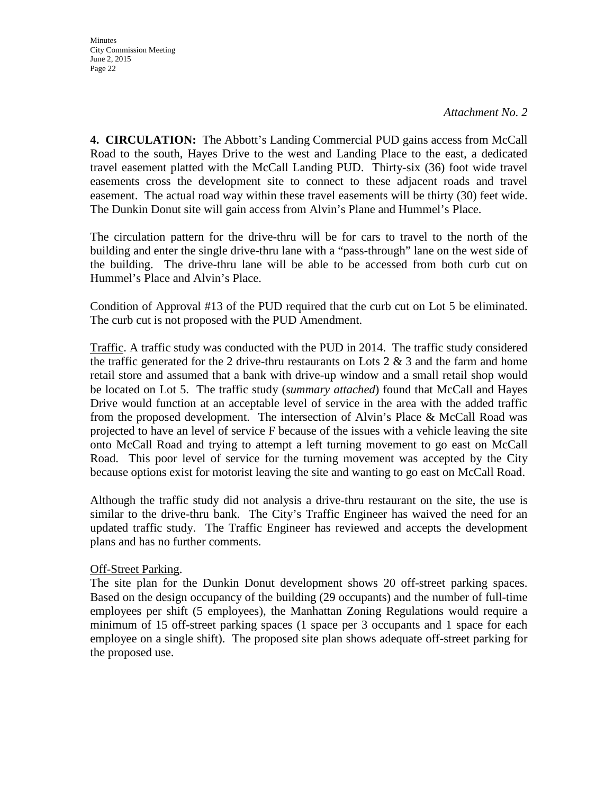**Minutes** City Commission Meeting June 2, 2015 Page 22

**4. CIRCULATION:** The Abbott's Landing Commercial PUD gains access from McCall Road to the south, Hayes Drive to the west and Landing Place to the east, a dedicated travel easement platted with the McCall Landing PUD. Thirty-six (36) foot wide travel easements cross the development site to connect to these adjacent roads and travel easement. The actual road way within these travel easements will be thirty (30) feet wide. The Dunkin Donut site will gain access from Alvin's Plane and Hummel's Place.

The circulation pattern for the drive-thru will be for cars to travel to the north of the building and enter the single drive-thru lane with a "pass-through" lane on the west side of the building. The drive-thru lane will be able to be accessed from both curb cut on Hummel's Place and Alvin's Place.

Condition of Approval #13 of the PUD required that the curb cut on Lot 5 be eliminated. The curb cut is not proposed with the PUD Amendment.

Traffic. A traffic study was conducted with the PUD in 2014. The traffic study considered the traffic generated for the 2 drive-thru restaurants on Lots  $2 \& 3$  and the farm and home retail store and assumed that a bank with drive-up window and a small retail shop would be located on Lot 5. The traffic study (*summary attached*) found that McCall and Hayes Drive would function at an acceptable level of service in the area with the added traffic from the proposed development. The intersection of Alvin's Place & McCall Road was projected to have an level of service F because of the issues with a vehicle leaving the site onto McCall Road and trying to attempt a left turning movement to go east on McCall Road. This poor level of service for the turning movement was accepted by the City because options exist for motorist leaving the site and wanting to go east on McCall Road.

Although the traffic study did not analysis a drive-thru restaurant on the site, the use is similar to the drive-thru bank. The City's Traffic Engineer has waived the need for an updated traffic study. The Traffic Engineer has reviewed and accepts the development plans and has no further comments.

#### Off-Street Parking.

The site plan for the Dunkin Donut development shows 20 off-street parking spaces. Based on the design occupancy of the building (29 occupants) and the number of full-time employees per shift (5 employees), the Manhattan Zoning Regulations would require a minimum of 15 off-street parking spaces (1 space per 3 occupants and 1 space for each employee on a single shift). The proposed site plan shows adequate off-street parking for the proposed use.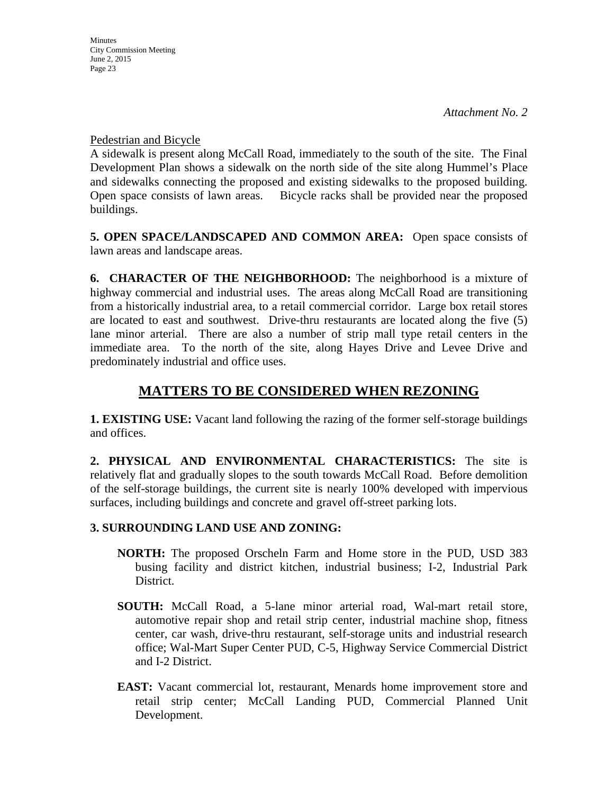Pedestrian and Bicycle

A sidewalk is present along McCall Road, immediately to the south of the site. The Final Development Plan shows a sidewalk on the north side of the site along Hummel's Place and sidewalks connecting the proposed and existing sidewalks to the proposed building. Open space consists of lawn areas. Bicycle racks shall be provided near the proposed buildings.

**5. OPEN SPACE/LANDSCAPED AND COMMON AREA:** Open space consists of lawn areas and landscape areas.

**6. CHARACTER OF THE NEIGHBORHOOD:** The neighborhood is a mixture of highway commercial and industrial uses. The areas along McCall Road are transitioning from a historically industrial area, to a retail commercial corridor. Large box retail stores are located to east and southwest. Drive-thru restaurants are located along the five (5) lane minor arterial. There are also a number of strip mall type retail centers in the immediate area. To the north of the site, along Hayes Drive and Levee Drive and predominately industrial and office uses.

## **MATTERS TO BE CONSIDERED WHEN REZONING**

**1. EXISTING USE:** Vacant land following the razing of the former self-storage buildings and offices.

**2. PHYSICAL AND ENVIRONMENTAL CHARACTERISTICS:** The site is relatively flat and gradually slopes to the south towards McCall Road. Before demolition of the self-storage buildings, the current site is nearly 100% developed with impervious surfaces, including buildings and concrete and gravel off-street parking lots.

## **3. SURROUNDING LAND USE AND ZONING:**

- **NORTH:** The proposed Orscheln Farm and Home store in the PUD, USD 383 busing facility and district kitchen, industrial business; I-2, Industrial Park District.
- **SOUTH:** McCall Road, a 5-lane minor arterial road, Wal-mart retail store, automotive repair shop and retail strip center, industrial machine shop, fitness center, car wash, drive-thru restaurant, self-storage units and industrial research office; Wal-Mart Super Center PUD, C-5, Highway Service Commercial District and I-2 District.
- **EAST:** Vacant commercial lot, restaurant, Menards home improvement store and retail strip center; McCall Landing PUD, Commercial Planned Unit Development.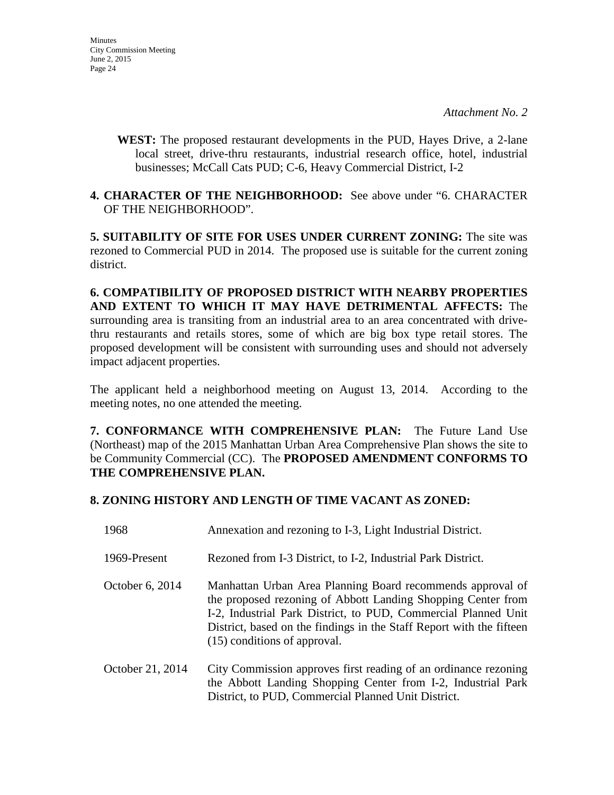**WEST:** The proposed restaurant developments in the PUD, Hayes Drive, a 2-lane local street, drive-thru restaurants, industrial research office, hotel, industrial businesses; McCall Cats PUD; C-6, Heavy Commercial District, I-2

#### **4. CHARACTER OF THE NEIGHBORHOOD:** See above under "6. CHARACTER OF THE NEIGHBORHOOD".

**5. SUITABILITY OF SITE FOR USES UNDER CURRENT ZONING:** The site was rezoned to Commercial PUD in 2014. The proposed use is suitable for the current zoning district.

**6. COMPATIBILITY OF PROPOSED DISTRICT WITH NEARBY PROPERTIES AND EXTENT TO WHICH IT MAY HAVE DETRIMENTAL AFFECTS:** The surrounding area is transiting from an industrial area to an area concentrated with drivethru restaurants and retails stores, some of which are big box type retail stores. The proposed development will be consistent with surrounding uses and should not adversely impact adjacent properties.

The applicant held a neighborhood meeting on August 13, 2014. According to the meeting notes, no one attended the meeting.

**7. CONFORMANCE WITH COMPREHENSIVE PLAN:** The Future Land Use (Northeast) map of the 2015 Manhattan Urban Area Comprehensive Plan shows the site to be Community Commercial (CC). The **PROPOSED AMENDMENT CONFORMS TO THE COMPREHENSIVE PLAN.**

### **8. ZONING HISTORY AND LENGTH OF TIME VACANT AS ZONED:**

| 1968             | Annexation and rezoning to I-3, Light Industrial District.                                                                                                                                                                                                                                           |
|------------------|------------------------------------------------------------------------------------------------------------------------------------------------------------------------------------------------------------------------------------------------------------------------------------------------------|
| 1969-Present     | Rezoned from I-3 District, to I-2, Industrial Park District.                                                                                                                                                                                                                                         |
| October 6, 2014  | Manhattan Urban Area Planning Board recommends approval of<br>the proposed rezoning of Abbott Landing Shopping Center from<br>I-2, Industrial Park District, to PUD, Commercial Planned Unit<br>District, based on the findings in the Staff Report with the fifteen<br>(15) conditions of approval. |
| October 21, 2014 | City Commission approves first reading of an ordinance rezoning<br>the Abbott Landing Shopping Center from I-2, Industrial Park<br>District, to PUD, Commercial Planned Unit District.                                                                                                               |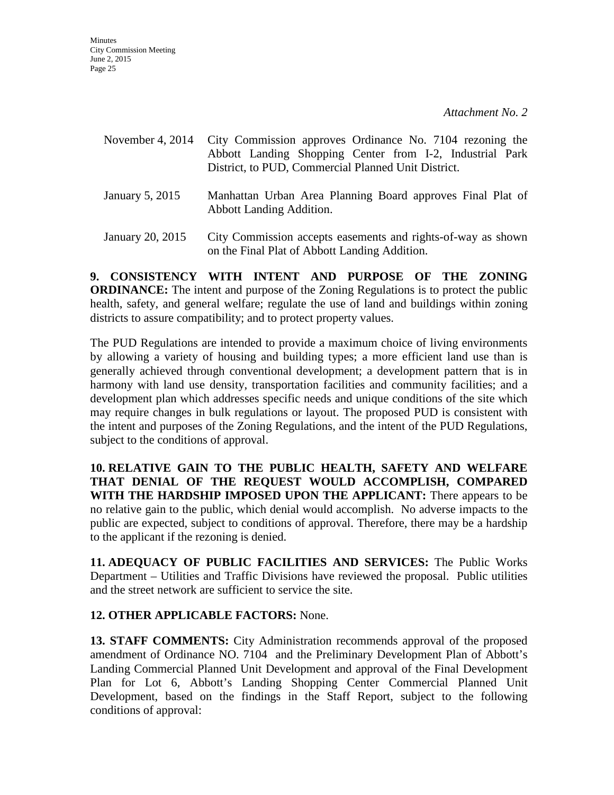| November 4, $2014$        | City Commission approves Ordinance No. 7104 rezoning the<br>Abbott Landing Shopping Center from I-2, Industrial Park<br>District, to PUD, Commercial Planned Unit District. |
|---------------------------|-----------------------------------------------------------------------------------------------------------------------------------------------------------------------------|
| January 5, 2015           | Manhattan Urban Area Planning Board approves Final Plat of<br>Abbott Landing Addition.                                                                                      |
| $T_{\rm annary}$ 20. 2015 | City Commission accents essements and rights-of-way as shown                                                                                                                |

January 20, 2015 City Commission accepts easements and rights-of-way as shown on the Final Plat of Abbott Landing Addition.

**9. CONSISTENCY WITH INTENT AND PURPOSE OF THE ZONING ORDINANCE:** The intent and purpose of the Zoning Regulations is to protect the public health, safety, and general welfare; regulate the use of land and buildings within zoning districts to assure compatibility; and to protect property values.

The PUD Regulations are intended to provide a maximum choice of living environments by allowing a variety of housing and building types; a more efficient land use than is generally achieved through conventional development; a development pattern that is in harmony with land use density, transportation facilities and community facilities; and a development plan which addresses specific needs and unique conditions of the site which may require changes in bulk regulations or layout. The proposed PUD is consistent with the intent and purposes of the Zoning Regulations, and the intent of the PUD Regulations, subject to the conditions of approval.

**10. RELATIVE GAIN TO THE PUBLIC HEALTH, SAFETY AND WELFARE THAT DENIAL OF THE REQUEST WOULD ACCOMPLISH, COMPARED WITH THE HARDSHIP IMPOSED UPON THE APPLICANT:** There appears to be no relative gain to the public, which denial would accomplish. No adverse impacts to the public are expected, subject to conditions of approval. Therefore, there may be a hardship to the applicant if the rezoning is denied.

**11. ADEQUACY OF PUBLIC FACILITIES AND SERVICES:** The Public Works Department – Utilities and Traffic Divisions have reviewed the proposal. Public utilities and the street network are sufficient to service the site.

### **12. OTHER APPLICABLE FACTORS:** None.

**13. STAFF COMMENTS:** City Administration recommends approval of the proposed amendment of Ordinance NO. 7104 and the Preliminary Development Plan of Abbott's Landing Commercial Planned Unit Development and approval of the Final Development Plan for Lot 6, Abbott's Landing Shopping Center Commercial Planned Unit Development, based on the findings in the Staff Report, subject to the following conditions of approval: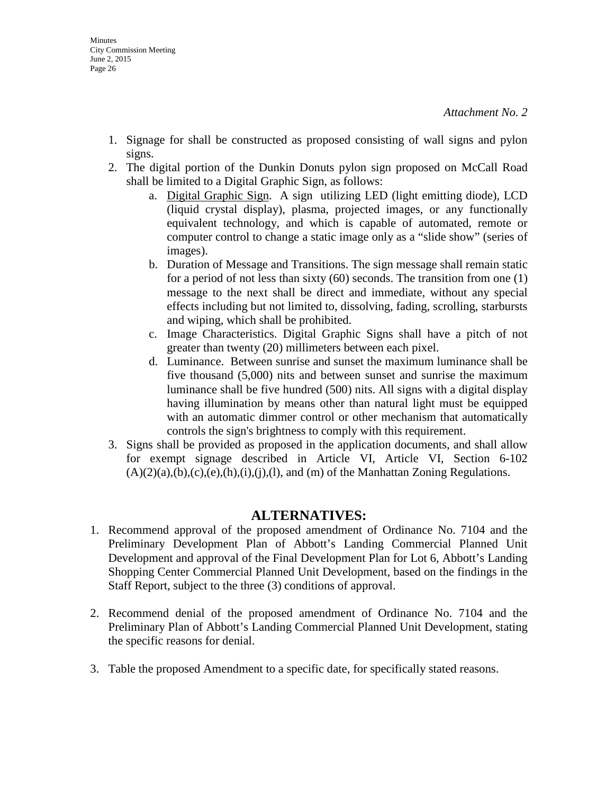- 1. Signage for shall be constructed as proposed consisting of wall signs and pylon signs.
- 2. The digital portion of the Dunkin Donuts pylon sign proposed on McCall Road shall be limited to a Digital Graphic Sign, as follows:
	- a. Digital Graphic Sign. A sign utilizing LED (light emitting diode), LCD (liquid crystal display), plasma, projected images, or any functionally equivalent technology, and which is capable of automated, remote or computer control to change a static image only as a "slide show" (series of images).
	- b. Duration of Message and Transitions. The sign message shall remain static for a period of not less than sixty (60) seconds. The transition from one (1) message to the next shall be direct and immediate, without any special effects including but not limited to, dissolving, fading, scrolling, starbursts and wiping, which shall be prohibited.
	- c. Image Characteristics. Digital Graphic Signs shall have a pitch of not greater than twenty (20) millimeters between each pixel.
	- d. Luminance. Between sunrise and sunset the maximum luminance shall be five thousand (5,000) nits and between sunset and sunrise the maximum luminance shall be five hundred (500) nits. All signs with a digital display having illumination by means other than natural light must be equipped with an automatic dimmer control or other mechanism that automatically controls the sign's brightness to comply with this requirement.
- 3. Signs shall be provided as proposed in the application documents, and shall allow for exempt signage described in Article VI, Article VI, Section 6-102  $(A)(2)(a),(b),(c),(e),(h),(i),(l),(l))$ , and  $(m)$  of the Manhattan Zoning Regulations.

## **ALTERNATIVES:**

- 1. Recommend approval of the proposed amendment of Ordinance No. 7104 and the Preliminary Development Plan of Abbott's Landing Commercial Planned Unit Development and approval of the Final Development Plan for Lot 6, Abbott's Landing Shopping Center Commercial Planned Unit Development, based on the findings in the Staff Report, subject to the three (3) conditions of approval.
- 2. Recommend denial of the proposed amendment of Ordinance No. 7104 and the Preliminary Plan of Abbott's Landing Commercial Planned Unit Development, stating the specific reasons for denial.
- 3. Table the proposed Amendment to a specific date, for specifically stated reasons.